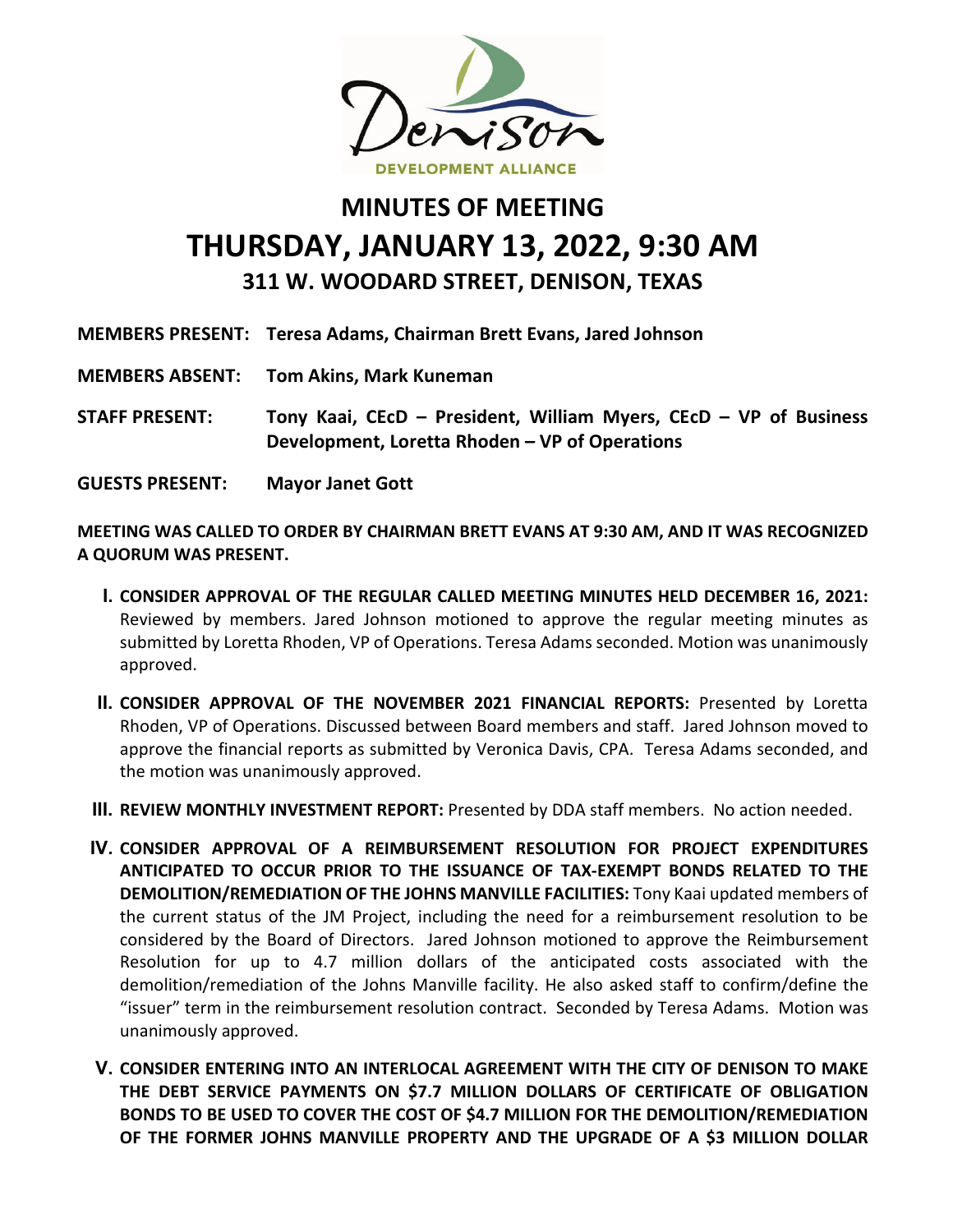

## **MINUTES OF MEETING THURSDAY, JANUARY 13, 2022, 9:30 AM 311 W. WOODARD STREET, DENISON, TEXAS**

|                        | MEMBERS PRESENT: Teresa Adams, Chairman Brett Evans, Jared Johnson                                                  |
|------------------------|---------------------------------------------------------------------------------------------------------------------|
|                        | <b>MEMBERS ABSENT: Tom Akins, Mark Kuneman</b>                                                                      |
| <b>STAFF PRESENT:</b>  | Tony Kaai, CEcD - President, William Myers, CEcD - VP of Business<br>Development, Loretta Rhoden - VP of Operations |
| <b>GUESTS PRESENT:</b> | <b>Mayor Janet Gott</b>                                                                                             |

**MEETING WAS CALLED TO ORDER BY CHAIRMAN BRETT EVANS AT 9:30 AM, AND IT WAS RECOGNIZED A QUORUM WAS PRESENT.**

- **I. CONSIDER APPROVAL OF THE REGULAR CALLED MEETING MINUTES HELD DECEMBER 16, 2021:** Reviewed by members. Jared Johnson motioned to approve the regular meeting minutes as submitted by Loretta Rhoden, VP of Operations. Teresa Adams seconded. Motion was unanimously approved.
- **II. CONSIDER APPROVAL OF THE NOVEMBER 2021 FINANCIAL REPORTS:** Presented by Loretta Rhoden, VP of Operations. Discussed between Board members and staff. Jared Johnson moved to approve the financial reports as submitted by Veronica Davis, CPA. Teresa Adams seconded, and the motion was unanimously approved.
- **III. REVIEW MONTHLY INVESTMENT REPORT:** Presented by DDA staff members. No action needed.
- **IV. CONSIDER APPROVAL OF A REIMBURSEMENT RESOLUTION FOR PROJECT EXPENDITURES ANTICIPATED TO OCCUR PRIOR TO THE ISSUANCE OF TAX-EXEMPT BONDS RELATED TO THE DEMOLITION/REMEDIATION OF THE JOHNS MANVILLE FACILITIES:** Tony Kaai updated members of the current status of the JM Project, including the need for a reimbursement resolution to be considered by the Board of Directors. Jared Johnson motioned to approve the Reimbursement Resolution for up to 4.7 million dollars of the anticipated costs associated with the demolition/remediation of the Johns Manville facility. He also asked staff to confirm/define the "issuer" term in the reimbursement resolution contract. Seconded by Teresa Adams. Motion was unanimously approved.
- **V. CONSIDER ENTERING INTO AN INTERLOCAL AGREEMENT WITH THE CITY OF DENISON TO MAKE THE DEBT SERVICE PAYMENTS ON \$7.7 MILLION DOLLARS OF CERTIFICATE OF OBLIGATION BONDS TO BE USED TO COVER THE COST OF \$4.7 MILLION FOR THE DEMOLITION/REMEDIATION OF THE FORMER JOHNS MANVILLE PROPERTY AND THE UPGRADE OF A \$3 MILLION DOLLAR**